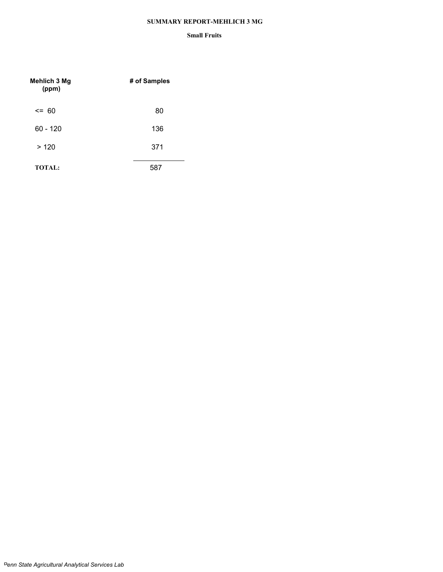## **SUMMARY REPORT-MEHLICH 3 MG**

| Mehlich 3 Mg<br>(ppm) | # of Samples |
|-----------------------|--------------|
| $\leq$ 60             | 80           |
| $60 - 120$            | 136          |
| >120                  | 371          |
| <b>TOTAL:</b>         | 587          |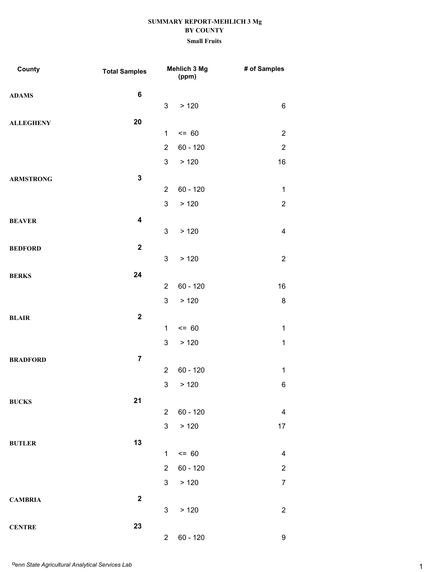| County           | <b>Total Samples</b>    | Mehlich 3 Mg<br>(ppm) |            | # of Samples     |
|------------------|-------------------------|-----------------------|------------|------------------|
| <b>ADAMS</b>     | $\bf 6$                 |                       |            |                  |
|                  |                         | 3                     | > 120      | 6                |
| <b>ALLEGHENY</b> | 20                      |                       |            |                  |
|                  |                         | $\mathbf{1}$          | $= 60$     | $\overline{2}$   |
|                  |                         | $\overline{2}$        | $60 - 120$ | $\boldsymbol{2}$ |
|                  |                         | 3                     | > 120      | 16               |
| <b>ARMSTRONG</b> | $\mathbf{3}$            |                       |            |                  |
|                  |                         | $\overline{2}$        | $60 - 120$ | $\mathbf{1}$     |
|                  |                         | 3                     | > 120      | $\boldsymbol{2}$ |
| <b>BEAVER</b>    | $\overline{\mathbf{4}}$ |                       |            |                  |
|                  |                         | 3                     | > 120      | 4                |
| <b>BEDFORD</b>   | $\overline{\mathbf{2}}$ | $\mathfrak{S}$        |            | $\boldsymbol{2}$ |
|                  |                         |                       | > 120      |                  |
| <b>BERKS</b>     | 24                      | $\overline{2}$        | $60 - 120$ | 16               |
|                  |                         | 3                     | > 120      | 8                |
|                  | $\overline{2}$          |                       |            |                  |
| <b>BLAIR</b>     |                         | $\mathbf{1}$          | $= 60$     | $\mathbf{1}$     |
|                  |                         | 3                     | > 120      | $\mathbf 1$      |
| <b>BRADFORD</b>  | $\overline{7}$          |                       |            |                  |
|                  |                         | $\overline{2}$        | $60 - 120$ | $\mathbf{1}$     |
|                  |                         | $\mathfrak{S}$        | >120       | 6                |
| <b>BUCKS</b>     | 21                      |                       |            |                  |
|                  |                         | $\overline{2}$        | $60 - 120$ | 4                |
|                  |                         | $\mathbf{3}$          | > 120      | 17               |
| <b>BUTLER</b>    | 13                      |                       |            |                  |
|                  |                         | $\mathbf{1}$          | $= 60$     | $\overline{4}$   |
|                  |                         | $\overline{2}$        | $60 - 120$ | $\boldsymbol{2}$ |
|                  |                         | $\mathbf{3}$          | > 120      | $\overline{7}$   |
| <b>CAMBRIA</b>   | $\overline{2}$          |                       |            |                  |
|                  |                         | 3                     | > 120      | $\boldsymbol{2}$ |
| <b>CENTRE</b>    | 23                      |                       |            |                  |
|                  |                         | $\overline{2}$        | 60 - 120   | 9                |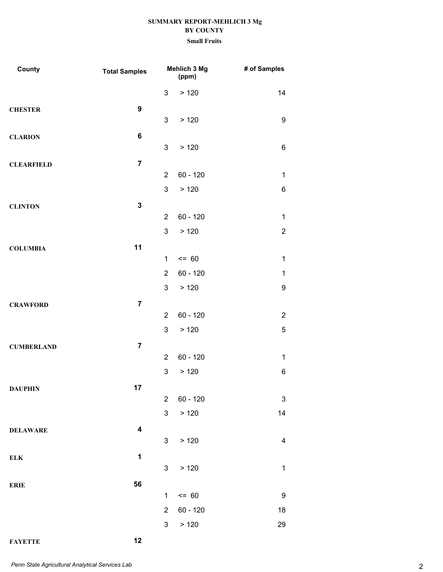| County            | <b>Total Samples</b>    |                | Mehlich 3 Mg<br>(ppm) | # of Samples              |
|-------------------|-------------------------|----------------|-----------------------|---------------------------|
|                   |                         | 3              | > 120                 | 14                        |
| <b>CHESTER</b>    | $\boldsymbol{9}$        |                |                       |                           |
|                   |                         | 3              | > 120                 | $\boldsymbol{9}$          |
| <b>CLARION</b>    | 6                       |                |                       |                           |
|                   |                         | 3              | > 120                 | 6                         |
| <b>CLEARFIELD</b> | $\overline{7}$          |                |                       |                           |
|                   |                         | $\overline{2}$ | $60 - 120$            | 1                         |
|                   |                         | 3              | >120                  | 6                         |
| <b>CLINTON</b>    | $\mathbf{3}$            |                |                       |                           |
|                   |                         | $\overline{2}$ | $60 - 120$            | $\mathbf 1$               |
|                   |                         | 3              | >120                  | $\overline{2}$            |
| <b>COLUMBIA</b>   | 11                      |                | $= 60$                |                           |
|                   |                         | $\mathbf 1$    |                       | $\mathbf{1}$              |
|                   |                         | $\overline{2}$ | $60 - 120$            | $\mathbf 1$               |
|                   |                         | 3              | > 120                 | 9                         |
| <b>CRAWFORD</b>   | $\overline{7}$          | $\overline{2}$ | $60 - 120$            | $\overline{2}$            |
|                   |                         | 3              | > 120                 | 5                         |
|                   |                         |                |                       |                           |
| <b>CUMBERLAND</b> | $\overline{7}$          | $\overline{2}$ | $60 - 120$            | 1                         |
|                   |                         | 3              | > 120                 | 6                         |
|                   | 17                      |                |                       |                           |
| <b>DAUPHIN</b>    |                         | $\overline{2}$ | $60 - 120$            | $\ensuremath{\mathsf{3}}$ |
|                   |                         | 3              | > 120                 | 14                        |
| <b>DELAWARE</b>   | $\overline{\mathbf{4}}$ |                |                       |                           |
|                   |                         | $\mathbf{3}$   | > 120                 | 4                         |
| <b>ELK</b>        | $\mathbf 1$             |                |                       |                           |
|                   |                         | $\mathbf{3}$   | > 120                 | $\mathbf{1}$              |
| <b>ERIE</b>       | 56                      |                |                       |                           |
|                   |                         | $\mathbf{1}$   | $= 60$                | $9\,$                     |
|                   |                         | $\overline{2}$ | $60 - 120$            | 18                        |
|                   |                         | 3              | > 120                 | 29                        |
| <b>FAYETTE</b>    | 12                      |                |                       |                           |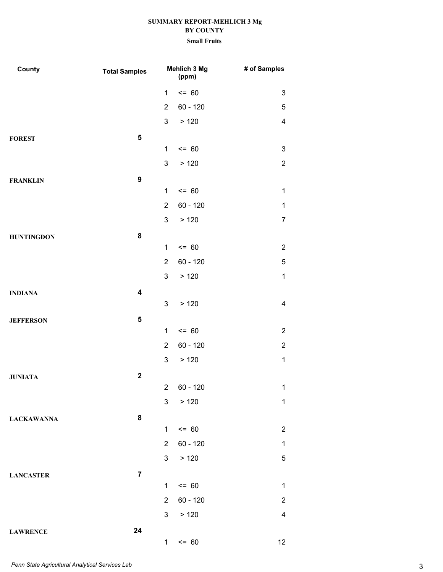| County            | <b>Total Samples</b> |                | Mehlich 3 Mg<br>(ppm) | # of Samples   |
|-------------------|----------------------|----------------|-----------------------|----------------|
|                   |                      | $\mathbf{1}$   | $= 60$                | 3              |
|                   |                      | $\overline{2}$ | $60 - 120$            | 5              |
|                   |                      | 3              | > 120                 | $\overline{4}$ |
| <b>FOREST</b>     | 5                    |                |                       |                |
|                   |                      | $\mathbf{1}$   | $= 60$                | 3              |
|                   |                      | 3              | >120                  | $\overline{2}$ |
| <b>FRANKLIN</b>   | $\boldsymbol{9}$     |                |                       |                |
|                   |                      | $\mathbf{1}$   | $= 60$                | $\mathbf{1}$   |
|                   |                      | $\overline{2}$ | $60 - 120$            | $\mathbf 1$    |
|                   |                      | 3              | > 120                 | 7              |
| <b>HUNTINGDON</b> | 8                    |                |                       |                |
|                   |                      | $\mathbf{1}$   | $= 60$                | $\overline{2}$ |
|                   |                      | $\overline{2}$ | $60 - 120$            | 5              |
|                   |                      | 3              | >120                  | $\mathbf{1}$   |
| <b>INDIANA</b>    | 4                    | 3              |                       |                |
|                   |                      |                | > 120                 | $\overline{4}$ |
| <b>JEFFERSON</b>  | 5                    | $\mathbf{1}$   | $= 60$                | $\overline{2}$ |
|                   |                      | $\overline{2}$ | $60 - 120$            | $\overline{2}$ |
|                   |                      | 3              | > 120                 | $\mathbf{1}$   |
|                   | $\mathbf 2$          |                |                       |                |
| <b>JUNIATA</b>    |                      | $\mathbf{2}$   | $60 - 120$            | $\mathbf{1}$   |
|                   |                      | 3              | > 120                 | $\mathbf{1}$   |
| <b>LACKAWANNA</b> | 8                    |                |                       |                |
|                   |                      | $\mathbf{1}$   | $\leq$ 60             | $\overline{2}$ |
|                   |                      | $\overline{2}$ | $60 - 120$            | $\mathbf 1$    |
|                   |                      | $\mathbf{3}$   | > 120                 | 5              |
| <b>LANCASTER</b>  | $\overline{7}$       |                |                       |                |
|                   |                      | $\mathbf{1}$   | $= 60$                | $\mathbf{1}$   |
|                   |                      | $\overline{2}$ | 60 - 120              | $\overline{c}$ |
|                   |                      | 3 <sup>1</sup> | > 120                 | $\overline{4}$ |
| <b>LAWRENCE</b>   | 24                   |                |                       |                |
|                   |                      | $\mathbf{1}$   | $= 60$                | 12             |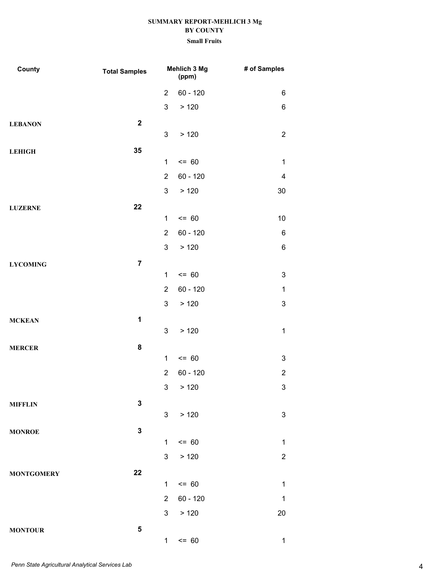| County            | <b>Total Samples</b> | Mehlich 3 Mg<br>(ppm) |            | # of Samples   |
|-------------------|----------------------|-----------------------|------------|----------------|
|                   |                      | $\overline{2}$        | $60 - 120$ | 6              |
|                   |                      | $\mathfrak{S}$        | > 120      | 6              |
| <b>LEBANON</b>    | $\mathbf 2$          |                       |            |                |
|                   |                      | 3                     | > 120      | $\overline{2}$ |
| <b>LEHIGH</b>     | 35                   |                       |            |                |
|                   |                      | $\mathbf{1}$          | $= 60$     | $\mathbf{1}$   |
|                   |                      | $\overline{2}$        | $60 - 120$ | 4              |
|                   |                      | 3                     | > 120      | 30             |
| <b>LUZERNE</b>    | 22                   |                       |            |                |
|                   |                      | $\mathbf 1$           | $= 60$     | 10             |
|                   |                      | $\overline{2}$        | $60 - 120$ | $\,6$          |
|                   |                      | 3                     | > 120      | $\,6$          |
| <b>LYCOMING</b>   | $\overline{7}$       |                       |            |                |
|                   |                      | $\mathbf{1}$          | $= 60$     | 3              |
|                   |                      | $\overline{2}$        | $60 - 120$ | $\mathbf{1}$   |
|                   |                      | 3                     | >120       | 3              |
| <b>MCKEAN</b>     | $\mathbf 1$          | 3                     | > 120      | $\mathbf{1}$   |
|                   | 8                    |                       |            |                |
| <b>MERCER</b>     |                      | $\mathbf{1}$          | $= 60$     | 3              |
|                   |                      | $\overline{2}$        | $60 - 120$ | $\overline{2}$ |
|                   |                      |                       | 3 > 120    | 3              |
| <b>MIFFLIN</b>    | $\mathbf 3$          |                       |            |                |
|                   |                      | 3 <sup>1</sup>        | > 120      | $\mathbf{3}$   |
| <b>MONROE</b>     | $\mathbf 3$          |                       |            |                |
|                   |                      | $\mathbf{1}$          | $= 60$     | $\mathbf 1$    |
|                   |                      | 3                     | > 120      | $\overline{c}$ |
| <b>MONTGOMERY</b> | 22                   |                       |            |                |
|                   |                      | $\mathbf 1$           | $= 60$     | $\mathbf{1}$   |
|                   |                      | $\overline{2}$        | $60 - 120$ | $\mathbf 1$    |
|                   |                      | $\mathbf{3}$          | > 120      | 20             |
| <b>MONTOUR</b>    | 5                    |                       |            |                |
|                   |                      | 1                     | $<= 60$    | 1              |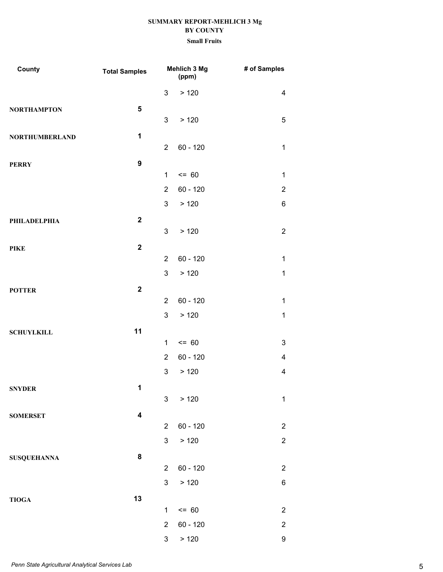| County                | <b>Total Samples</b>    | Mehlich 3 Mg<br>(ppm) |            | # of Samples   |  |
|-----------------------|-------------------------|-----------------------|------------|----------------|--|
|                       |                         | 3                     | > 120      | $\overline{4}$ |  |
| <b>NORTHAMPTON</b>    | $\sqrt{5}$              |                       |            |                |  |
|                       |                         | 3                     | > 120      | 5              |  |
| <b>NORTHUMBERLAND</b> | 1                       |                       |            |                |  |
|                       |                         | $\overline{2}$        | $60 - 120$ | $\mathbf 1$    |  |
| <b>PERRY</b>          | $\boldsymbol{9}$        |                       |            |                |  |
|                       |                         | $\mathbf{1}$          | $= 60$     | 1              |  |
|                       |                         | $\overline{2}$        | $60 - 120$ | $\overline{2}$ |  |
|                       |                         | 3                     | > 120      | 6              |  |
| PHILADELPHIA          | $\overline{\mathbf{2}}$ |                       |            |                |  |
|                       |                         | 3                     | > 120      | $\overline{2}$ |  |
| <b>PIKE</b>           | $\mathbf{2}$            | $\overline{2}$        | $60 - 120$ | $\mathbf{1}$   |  |
|                       |                         | 3                     | >120       | $\mathbf 1$    |  |
|                       |                         |                       |            |                |  |
| <b>POTTER</b>         | $\overline{\mathbf{2}}$ | $\overline{2}$        | $60 - 120$ | $\mathbf{1}$   |  |
|                       |                         | 3                     | > 120      | $\mathbf{1}$   |  |
|                       | 11                      |                       |            |                |  |
| <b>SCHUYLKILL</b>     |                         | $\mathbf 1$           | $= 60$     | 3              |  |
|                       |                         | $\overline{2}$        | $60 - 120$ | 4              |  |
|                       |                         | 3                     | >120       | 4              |  |
| <b>SNYDER</b>         | 1                       |                       |            |                |  |
|                       |                         | $\mathbf{3}$          | > 120      | $\mathbf{1}$   |  |
| <b>SOMERSET</b>       | $\overline{\mathbf{4}}$ |                       |            |                |  |
|                       |                         | $\overline{2}$        | $60 - 120$ | $\overline{c}$ |  |
|                       |                         | 3                     | > 120      | $\overline{c}$ |  |
| <b>SUSQUEHANNA</b>    | ${\bf 8}$               |                       |            |                |  |
|                       |                         | $\overline{2}$        | $60 - 120$ | $\overline{2}$ |  |
|                       |                         | 3                     | > 120      | 6              |  |
| <b>TIOGA</b>          | 13                      |                       |            |                |  |
|                       |                         | $\mathbf 1$           | $= 60$     | $\overline{2}$ |  |
|                       |                         | $\overline{2}$        | $60 - 120$ | $\overline{2}$ |  |
|                       |                         | 3                     | > 120      | 9              |  |